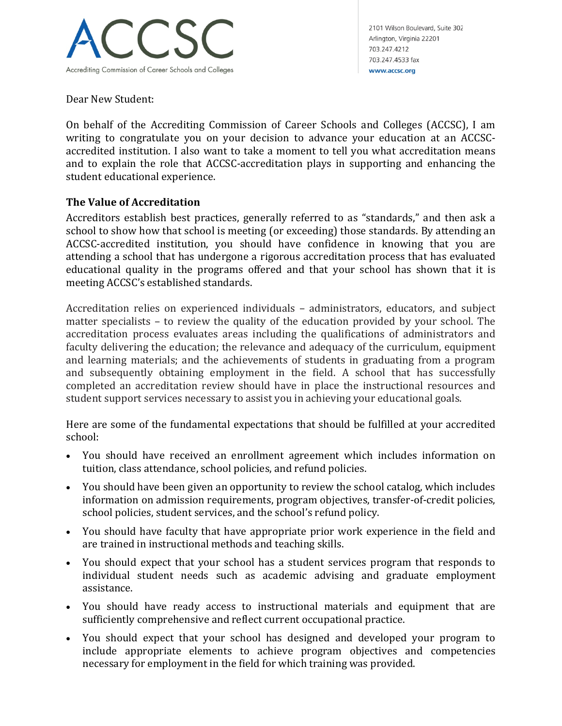

2101 Wilson Boulevard, Suite 302 Arlington, Virginia 22201 703.247.4212 703.247.4533 fax www.accsc.org

Dear New Student:

On behalf of the Accrediting Commission of Career Schools and Colleges (ACCSC), I am writing to congratulate you on your decision to advance your education at an ACCSCaccredited institution. I also want to take a moment to tell you what accreditation means and to explain the role that ACCSC-accreditation plays in supporting and enhancing the student educational experience.

## **The Value of Accreditation**

Accreditors establish best practices, generally referred to as "standards," and then ask a school to show how that school is meeting (or exceeding) those standards. By attending an ACCSC-accredited institution, you should have confidence in knowing that you are attending a school that has undergone a rigorous accreditation process that has evaluated educational quality in the programs offered and that your school has shown that it is meeting ACCSC's established standards.

Accreditation relies on experienced individuals – administrators, educators, and subject matter specialists – to review the quality of the education provided by your school. The accreditation process evaluates areas including the qualifications of administrators and faculty delivering the education; the relevance and adequacy of the curriculum, equipment and learning materials; and the achievements of students in graduating from a program and subsequently obtaining employment in the field. A school that has successfully completed an accreditation review should have in place the instructional resources and student support services necessary to assist you in achieving your educational goals.

Here are some of the fundamental expectations that should be fulfilled at your accredited school:

- You should have received an enrollment agreement which includes information on tuition, class attendance, school policies, and refund policies.
- You should have been given an opportunity to review the school catalog, which includes information on admission requirements, program objectives, transfer-of-credit policies, school policies, student services, and the school's refund policy.
- You should have faculty that have appropriate prior work experience in the field and are trained in instructional methods and teaching skills.
- You should expect that your school has a student services program that responds to individual student needs such as academic advising and graduate employment assistance.
- You should have ready access to instructional materials and equipment that are sufficiently comprehensive and reflect current occupational practice.
- You should expect that your school has designed and developed your program to include appropriate elements to achieve program objectives and competencies necessary for employment in the field for which training was provided.